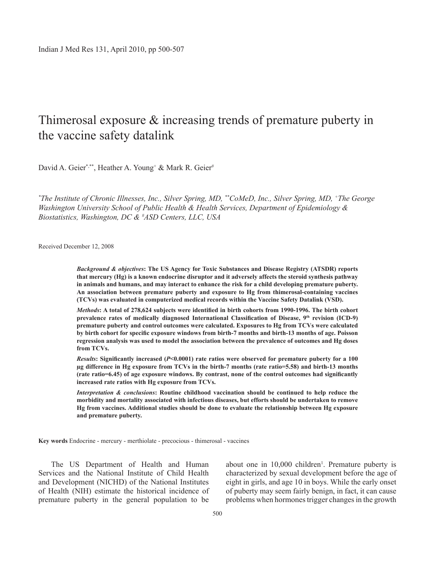# Thimerosal exposure & increasing trends of premature puberty in the vaccine safety datalink

David A. Geier\*\*\*, Heather A. Young<sup>+</sup> & Mark R. Geier<sup>#</sup>

*\* The Institute of Chronic Illnesses, Inc., Silver Spring, MD, \*\*CoMeD, Inc., Silver Spring, MD, +The George Washington University School of Public Health & Health Services, Department of Epidemiology & Biostatistics, Washington, DC & # ASD Centers, LLC, USA*

Received December 12, 2008

*Background & objectives***: The US Agency for Toxic Substances and Disease Registry (ATSDR) reports that mercury (Hg) is a known endocrine disruptor and it adversely affects the steroid synthesis pathway in animals and humans, and may interact to enhance the risk for a child developing premature puberty. An association between premature puberty and exposure to Hg from thimerosal-containing vaccines (TCVs) was evaluated in computerized medical records within the Vaccine Safety Datalink (VSD).**

*Methods***: A total of 278,624 subjects were identified in birth cohorts from 1990-1996. The birth cohort prevalence rates of medically diagnosed International Classification of Disease, 9th revision (ICD-9) premature puberty and control outcomes were calculated. Exposures to Hg from TCVs were calculated by birth cohort for specific exposure windows from birth-7 months and birth-13 months of age. Poisson regression analysis was used to model the association between the prevalence of outcomes and Hg doses from TCVs.**

*Results***: Significantly increased (***P***<0.0001) rate ratios were observed for premature puberty for a 100 µg difference in Hg exposure from TCVs in the birth-7 months (rate ratio=5.58) and birth-13 months (rate ratio=6.45) of age exposure windows. By contrast, none of the control outcomes had significantly increased rate ratios with Hg exposure from TCVs.**

*Interpretation & conclusions***: Routine childhood vaccination should be continued to help reduce the morbidity and mortality associated with infectious diseases, but efforts should be undertaken to remove Hg from vaccines. Additional studies should be done to evaluate the relationship between Hg exposure and premature puberty.** 

**Key words** Endocrine - mercury - merthiolate - precocious - thimerosal - vaccines

The US Department of Health and Human Services and the National Institute of Child Health and Development (NICHD) of the National Institutes of Health (NIH) estimate the historical incidence of premature puberty in the general population to be

about one in 10,000 children<sup>1</sup>. Premature puberty is characterized by sexual development before the age of eight in girls, and age 10 in boys. While the early onset of puberty may seem fairly benign, in fact, it can cause problems when hormones trigger changes in the growth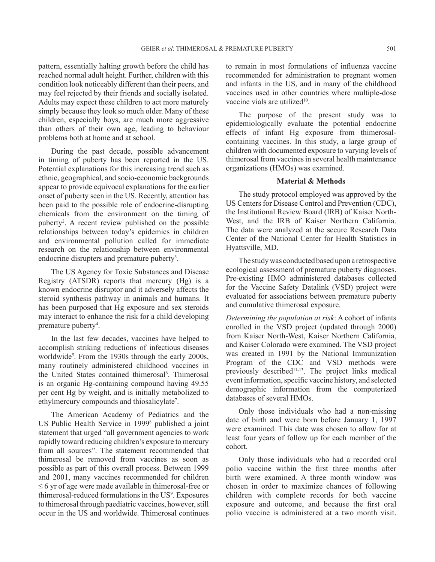pattern, essentially halting growth before the child has reached normal adult height. Further, children with this condition look noticeably different than their peers, and may feel rejected by their friends and socially isolated. Adults may expect these children to act more maturely simply because they look so much older. Many of these children, especially boys, are much more aggressive than others of their own age, leading to behaviour problems both at home and at school.

During the past decade, possible advancement in timing of puberty has been reported in the US. Potential explanations for this increasing trend such as ethnic, geographical, and socio-economic backgrounds appear to provide equivocal explanations for the earlier onset of puberty seen in the US. Recently, attention has been paid to the possible role of endocrine-disrupting chemicals from the environment on the timing of puberty2 . A recent review published on the possible relationships between today's epidemics in children and environmental pollution called for immediate research on the relationship between environmental endocrine disrupters and premature puberty<sup>3</sup>.

The US Agency for Toxic Substances and Disease Registry (ATSDR) reports that mercury (Hg) is a known endocrine disruptor and it adversely affects the steroid synthesis pathway in animals and humans. It has been purposed that Hg exposure and sex steroids may interact to enhance the risk for a child developing premature puberty<sup>4</sup>.

In the last few decades, vaccines have helped to accomplish striking reductions of infectious diseases worldwide<sup>5</sup>. From the 1930s through the early 2000s, many routinely administered childhood vaccines in the United States contained thimerosal<sup>6</sup>. Thimerosal is an organic Hg-containing compound having 49.55 per cent Hg by weight, and is initially metabolized to ethylmercury compounds and thiosalicylate<sup>7</sup>.

The American Academy of Pediatrics and the US Public Health Service in 19998 published a joint statement that urged "all government agencies to work rapidly toward reducing children's exposure to mercury from all sources". The statement recommended that thimerosal be removed from vaccines as soon as possible as part of this overall process. Between 1999 and 2001, many vaccines recommended for children ≤ 6 yr of age were made available in thimerosal-free or thimerosal-reduced formulations in the US<sup>9</sup>. Exposures to thimerosal through paediatric vaccines, however, still occur in the US and worldwide. Thimerosal continues

to remain in most formulations of influenza vaccine recommended for administration to pregnant women and infants in the US, and in many of the childhood vaccines used in other countries where multiple-dose vaccine vials are utilized<sup>10</sup>.

The purpose of the present study was to epidemiologically evaluate the potential endocrine effects of infant Hg exposure from thimerosalcontaining vaccines. In this study, a large group of children with documented exposure to varying levels of thimerosal from vaccines in several health maintenance organizations (HMOs) was examined.

### **Material & methods**

The study protocol employed was approved by the US Centers for Disease Control and Prevention (CDC), the Institutional Review Board (IRB) of Kaiser North-West, and the IRB of Kaiser Northern California. The data were analyzed at the secure Research Data Center of the National Center for Health Statistics in Hyattsville, MD.

The study was conducted based upon a retrospective ecological assessment of premature puberty diagnoses. Pre-existing HMO administered databases collected for the Vaccine Safety Datalink (VSD) project were evaluated for associations between premature puberty and cumulative thimerosal exposure.

*Determining the population at risk*: A cohort of infants enrolled in the VSD project (updated through 2000) from Kaiser North-West, Kaiser Northern California, and Kaiser Colorado were examined. The VSD project was created in 1991 by the National Immunization Program of the CDC and VSD methods were previously described<sup>11-13</sup>. The project links medical event information, specific vaccine history, and selected demographic information from the computerized databases of several HMOs.

Only those individuals who had a non-missing date of birth and were born before January 1, 1997 were examined. This date was chosen to allow for at least four years of follow up for each member of the cohort.

Only those individuals who had a recorded oral polio vaccine within the first three months after birth were examined. A three month window was chosen in order to maximize chances of following children with complete records for both vaccine exposure and outcome, and because the first oral polio vaccine is administered at a two month visit.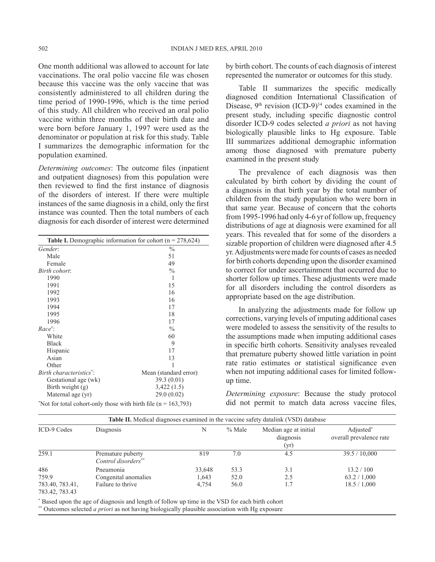One month additional was allowed to account for late vaccinations. The oral polio vaccine file was chosen because this vaccine was the only vaccine that was consistently administered to all children during the time period of 1990-1996, which is the time period of this study. All children who received an oral polio vaccine within three months of their birth date and were born before January 1, 1997 were used as the denominator or population at risk for this study. Table I summarizes the demographic information for the population examined.

*Determining outcomes*: The outcome files (inpatient and outpatient diagnoses) from this population were then reviewed to find the first instance of diagnosis of the disorders of interest. If there were multiple instances of the same diagnosis in a child, only the first instance was counted. Then the total numbers of each diagnosis for each disorder of interest were determined

| <b>Table I.</b> Demographic information for cohort ( $n = 278,624$ ) |                       |  |  |
|----------------------------------------------------------------------|-----------------------|--|--|
| Gender:                                                              | $\frac{0}{0}$         |  |  |
| Male                                                                 | 51                    |  |  |
| Female                                                               | 49                    |  |  |
| Birth cohort:                                                        | $\frac{0}{0}$         |  |  |
| 1990                                                                 | 1                     |  |  |
| 1991                                                                 | 15                    |  |  |
| 1992                                                                 | 16                    |  |  |
| 1993                                                                 | 16                    |  |  |
| 1994                                                                 | 17                    |  |  |
| 1995                                                                 | 18                    |  |  |
| 1996                                                                 | 17                    |  |  |
| $Race^*$ :                                                           | $\frac{0}{0}$         |  |  |
| White                                                                | 60                    |  |  |
| <b>Black</b>                                                         | 9                     |  |  |
| Hispanic                                                             | 17                    |  |  |
| Asian                                                                | 13                    |  |  |
| Other                                                                | 1                     |  |  |
| Birth characteristics <sup>*</sup> :                                 | Mean (standard error) |  |  |
| Gestational age (wk)                                                 | 39.3(0.01)            |  |  |
| Birth weight $(g)$                                                   | 3,422(1.5)            |  |  |
| Maternal age (yr)                                                    | 29.0(0.02)            |  |  |
| "Not for total cohort-only those with birth file ( $n = 163,793$ )   |                       |  |  |

by birth cohort. The counts of each diagnosis of interest represented the numerator or outcomes for this study.

Table II summarizes the specific medically diagnosed condition International Classification of Disease,  $9<sup>th</sup>$  revision (ICD-9)<sup>14</sup> codes examined in the present study, including specific diagnostic control disorder ICD-9 codes selected *a priori* as not having biologically plausible links to Hg exposure. Table III summarizes additional demographic information among those diagnosed with premature puberty examined in the present study

The prevalence of each diagnosis was then calculated by birth cohort by dividing the count of a diagnosis in that birth year by the total number of children from the study population who were born in that same year. Because of concern that the cohorts from 1995-1996 had only 4-6 yr of follow up, frequency distributions of age at diagnosis were examined for all years. This revealed that for some of the disorders a sizable proportion of children were diagnosed after 4.5 yr. Adjustments were made for counts of cases as needed for birth cohorts depending upon the disorder examined to correct for under ascertainment that occurred due to shorter follow up times. These adjustments were made for all disorders including the control disorders as appropriate based on the age distribution.

In analyzing the adjustments made for follow up corrections, varying levels of imputing additional cases were modeled to assess the sensitivity of the results to the assumptions made when imputing additional cases in specific birth cohorts. Sensitivity analyses revealed that premature puberty showed little variation in point rate ratio estimates or statistical significance even when not imputing additional cases for limited followup time.

*Determining exposure*: Because the study protocol did not permit to match data across vaccine files,

| <b>Table II.</b> Medical diagnoses examined in the vaccine safety datalink (VSD) database |                                          |        |          |                                            |                                      |  |
|-------------------------------------------------------------------------------------------|------------------------------------------|--------|----------|--------------------------------------------|--------------------------------------|--|
| ICD-9 Codes                                                                               | Diagnosis                                | N      | $%$ Male | Median age at initial<br>diagnosis<br>(yr) | Adjusted*<br>overall prevalence rate |  |
| 259.1                                                                                     | Premature puberty<br>Control disorders** | 819    | 7.0      | 4.5                                        | 39.5 / 10,000                        |  |
| 486                                                                                       | Pneumonia                                | 33,648 | 53.3     | 3.1                                        | 13.2 / 100                           |  |
| 759.9                                                                                     | Congenital anomalies                     | 1,643  | 52.0     | 2.5                                        | 63.2 / 1,000                         |  |
| 783.40, 783.41,<br>783.42, 783.43                                                         | Failure to thrive                        | 4.754  | 56.0     | 1.7                                        | 18.5 / 1,000                         |  |

\* Based upon the age of diagnosis and length of follow up time in the VSD for each birth cohort

\*\* Outcomes selected *a priori* as not having biologically plausible association with Hg exposure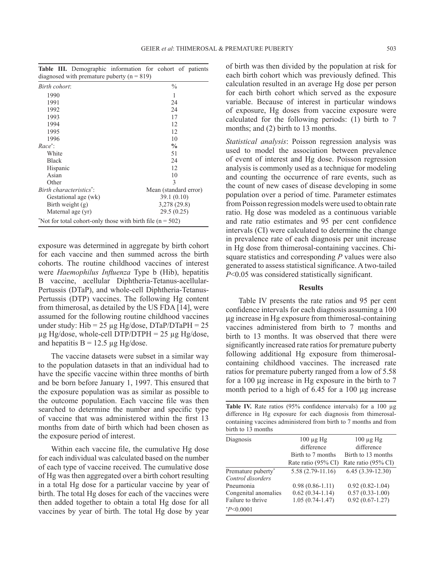**Table III.** Demographic information for cohort of patients diagnosed with premature puberty  $(n = 819)$ 

| Birth cohort:                                                  | $\frac{0}{0}$         |  |  |  |
|----------------------------------------------------------------|-----------------------|--|--|--|
| 1990                                                           | 1                     |  |  |  |
| 1991                                                           | 24                    |  |  |  |
| 1992                                                           | 24                    |  |  |  |
| 1993                                                           | 17                    |  |  |  |
| 1994                                                           | 12                    |  |  |  |
| 1995                                                           | 12                    |  |  |  |
| 1996                                                           | 10                    |  |  |  |
| $Race^*$                                                       | $\frac{0}{0}$         |  |  |  |
| White                                                          | 51                    |  |  |  |
| <b>Black</b>                                                   | 24                    |  |  |  |
| Hispanic                                                       | 12                    |  |  |  |
| Asian                                                          | 10                    |  |  |  |
| Other                                                          | $\mathcal{E}$         |  |  |  |
| Birth characteristics":                                        | Mean (standard error) |  |  |  |
| Gestational age (wk)                                           | 39.1(0.10)            |  |  |  |
| Birth weight $(g)$                                             | 3,278 (29.8)          |  |  |  |
| Maternal age (yr)                                              | 29.5(0.25)            |  |  |  |
| "Not for total cohort-only those with birth file $(n = 502)$ " |                       |  |  |  |

exposure was determined in aggregate by birth cohort for each vaccine and then summed across the birth cohorts. The routine childhood vaccines of interest were *Haemophilus Influenza* Type b (Hib), hepatitis B vaccine, acellular Diphtheria-Tetanus-acellular-Pertussis (DTaP), and whole-cell Diphtheria-Tetanus-Pertussis (DTP) vaccines. The following Hg content from thimerosal, as detailed by the US FDA [14], were assumed for the following routine childhood vaccines under study: Hib =  $25 \mu$ g Hg/dose, DTaP/DTaPH =  $25 \mu$  $\mu$ g Hg/dose, whole-cell DTP/DTPH = 25  $\mu$ g Hg/dose, and hepatitis  $B = 12.5 \mu g Hg/dose$ .

The vaccine datasets were subset in a similar way to the population datasets in that an individual had to have the specific vaccine within three months of birth and be born before January 1, 1997. This ensured that the exposure population was as similar as possible to the outcome population. Each vaccine file was then searched to determine the number and specific type of vaccine that was administered within the first 13 months from date of birth which had been chosen as the exposure period of interest.

Within each vaccine file, the cumulative Hg dose for each individual was calculated based on the number of each type of vaccine received. The cumulative dose of Hg was then aggregated over a birth cohort resulting in a total Hg dose for a particular vaccine by year of birth. The total Hg doses for each of the vaccines were then added together to obtain a total Hg dose for all vaccines by year of birth. The total Hg dose by year

of birth was then divided by the population at risk for each birth cohort which was previously defined. This calculation resulted in an average Hg dose per person for each birth cohort which served as the exposure variable. Because of interest in particular windows of exposure, Hg doses from vaccine exposure were calculated for the following periods: (1) birth to 7 months; and (2) birth to 13 months.

*Statistical analysis*: Poisson regression analysis was used to model the association between prevalence of event of interest and Hg dose. Poisson regression analysis is commonly used as a technique for modeling and counting the occurrence of rare events, such as the count of new cases of disease developing in some population over a period of time. Parameter estimates from Poisson regression models were used to obtain rate ratio. Hg dose was modeled as a continuous variable and rate ratio estimates and 95 per cent confidence intervals (CI) were calculated to determine the change in prevalence rate of each diagnosis per unit increase in Hg dose from thimerosal-containing vaccines. Chisquare statistics and corresponding *P* values were also generated to assess statistical significance. A two-tailed *P*<0.05 was considered statistically significant.

#### **Results**

Table IV presents the rate ratios and 95 per cent confidence intervals for each diagnosis assuming a 100 µg increase in Hg exposure from thimerosal-containing vaccines administered from birth to 7 months and birth to 13 months. It was observed that there were significantly increased rate ratios for premature puberty following additional Hg exposure from thimerosalcontaining childhood vaccines. The increased rate ratios for premature puberty ranged from a low of 5.58 for a 100 µg increase in Hg exposure in the birth to 7 month period to a high of 6.45 for a 100 µg increase

Table IV. Rate ratios (95% confidence intervals) for a 100  $\mu$ g difference in Hg exposure for each diagnosis from thimerosalcontaining vaccines administered from birth to 7 months and from birth to 13 months

| Diagnosis            | $100 \mu$ g Hg<br>difference | $100 \mu$ g Hg<br>difference |  |
|----------------------|------------------------------|------------------------------|--|
|                      | Birth to 7 months            | Birth to 13 months           |  |
|                      | Rate ratio (95% CI)          | Rate ratio (95% CI)          |  |
| Premature puberty*   | $5.58(2.79-11.16)$           | $6.45(3.39-12.30)$           |  |
| Control disorders    |                              |                              |  |
| Pneumonia            | $0.98(0.86-1.11)$            | $0.92(0.82 - 1.04)$          |  |
| Congenital anomalies | $0.62(0.34-1.14)$            | $0.57(0.33 - 1.00)$          |  |
| Failure to thrive    | $1.05(0.74 - 1.47)$          | $0.92(0.67-1.27)$            |  |
| $*P<0.0001$          |                              |                              |  |
|                      |                              |                              |  |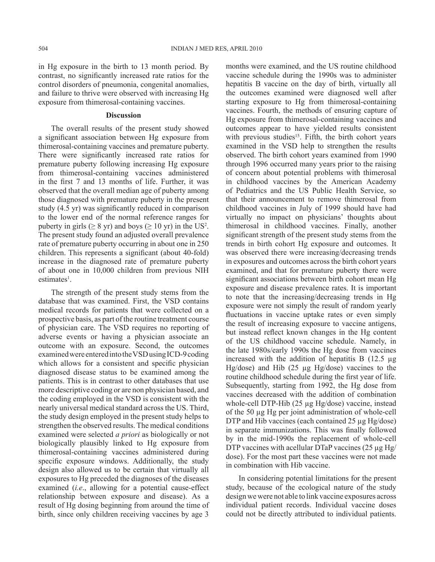in Hg exposure in the birth to 13 month period. By contrast, no significantly increased rate ratios for the control disorders of pneumonia, congenital anomalies, and failure to thrive were observed with increasing Hg exposure from thimerosal-containing vaccines.

#### **Discussion**

The overall results of the present study showed a significant association between Hg exposure from thimerosal-containing vaccines and premature puberty. There were significantly increased rate ratios for premature puberty following increasing Hg exposure from thimerosal-containing vaccines administered in the first 7 and 13 months of life. Further, it was observed that the overall median age of puberty among those diagnosed with premature puberty in the present study (4.5 yr) was significantly reduced in comparison to the lower end of the normal reference ranges for puberty in girls ( $\geq 8$  yr) and boys ( $\geq 10$  yr) in the US<sup>2</sup>. The present study found an adjusted overall prevalence rate of premature puberty occurring in about one in 250 children. This represents a significant (about 40-fold) increase in the diagnosed rate of premature puberty of about one in 10,000 children from previous NIH estimates<sup>1</sup>.

The strength of the present study stems from the database that was examined. First, the VSD contains medical records for patients that were collected on a prospective basis, as part of the routine treatment course of physician care. The VSD requires no reporting of adverse events or having a physician associate an outcome with an exposure. Second, the outcomes examined were entered into the VSD using ICD-9 coding which allows for a consistent and specific physician diagnosed disease status to be examined among the patients. This is in contrast to other databases that use more descriptive coding or are non physician based, and the coding employed in the VSD is consistent with the nearly universal medical standard across the US. Third, the study design employed in the present study helps to strengthen the observed results. The medical conditions examined were selected *a priori* as biologically or not biologically plausibly linked to Hg exposure from thimerosal-containing vaccines administered during specific exposure windows. Additionally, the study design also allowed us to be certain that virtually all exposures to Hg preceded the diagnoses of the diseases examined (*i.e*., allowing for a potential cause-effect relationship between exposure and disease). As a result of Hg dosing beginning from around the time of birth, since only children receiving vaccines by age 3

months were examined, and the US routine childhood vaccine schedule during the 1990s was to administer hepatitis B vaccine on the day of birth, virtually all the outcomes examined were diagnosed well after starting exposure to Hg from thimerosal-containing vaccines. Fourth, the methods of ensuring capture of Hg exposure from thimerosal-containing vaccines and outcomes appear to have yielded results consistent with previous studies<sup>15</sup>. Fifth, the birth cohort years examined in the VSD help to strengthen the results observed. The birth cohort years examined from 1990 through 1996 occurred many years prior to the raising of concern about potential problems with thimerosal in childhood vaccines by the American Academy of Pediatrics and the US Public Health Service, so that their announcement to remove thimerosal from childhood vaccines in July of 1999 should have had virtually no impact on physicians' thoughts about thimerosal in childhood vaccines. Finally, another significant strength of the present study stems from the trends in birth cohort Hg exposure and outcomes. It was observed there were increasing/decreasing trends in exposures and outcomes across the birth cohort years examined, and that for premature puberty there were significant associations between birth cohort mean Hg exposure and disease prevalence rates. It is important to note that the increasing/decreasing trends in Hg exposure were not simply the result of random yearly fluctuations in vaccine uptake rates or even simply the result of increasing exposure to vaccine antigens, but instead reflect known changes in the Hg content of the US childhood vaccine schedule. Namely, in the late 1980s/early 1990s the Hg dose from vaccines increased with the addition of hepatitis B  $(12.5 \text{ µg})$ Hg/dose) and Hib (25 µg Hg/dose) vaccines to the routine childhood schedule during the first year of life. Subsequently, starting from 1992, the Hg dose from vaccines decreased with the addition of combination whole-cell DTP-Hib (25 µg Hg/dose) vaccine, instead of the 50 µg Hg per joint administration of whole-cell DTP and Hib vaccines (each contained 25 µg Hg/dose) in separate immunizations. This was finally followed by in the mid-1990s the replacement of whole-cell DTP vaccines with acellular DTaP vaccines  $(25 \mu g Hg)$ dose). For the most part these vaccines were not made in combination with Hib vaccine.

In considering potential limitations for the present study, because of the ecological nature of the study design we were not able to link vaccine exposures across individual patient records. Individual vaccine doses could not be directly attributed to individual patients.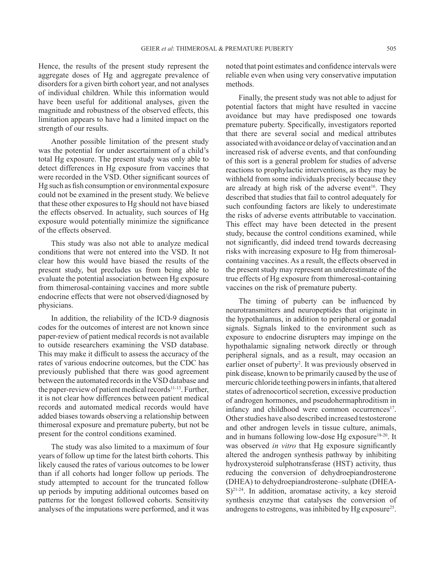Hence, the results of the present study represent the aggregate doses of Hg and aggregate prevalence of disorders for a given birth cohort year, and not analyses of individual children. While this information would have been useful for additional analyses, given the magnitude and robustness of the observed effects, this limitation appears to have had a limited impact on the strength of our results.

Another possible limitation of the present study was the potential for under ascertainment of a child's total Hg exposure. The present study was only able to detect differences in Hg exposure from vaccines that were recorded in the VSD. Other significant sources of Hg such as fish consumption or environmental exposure could not be examined in the present study. We believe that these other exposures to Hg should not have biased the effects observed. In actuality, such sources of Hg exposure would potentially minimize the significance of the effects observed.

This study was also not able to analyze medical conditions that were not entered into the VSD. It not clear how this would have biased the results of the present study, but precludes us from being able to evaluate the potential association between Hg exposure from thimerosal-containing vaccines and more subtle endocrine effects that were not observed/diagnosed by physicians.

In addition, the reliability of the ICD-9 diagnosis codes for the outcomes of interest are not known since paper-review of patient medical records is not available to outside researchers examining the VSD database. This may make it difficult to assess the accuracy of the rates of various endocrine outcomes, but the CDC has previously published that there was good agreement between the automated records in the VSD database and the paper-review of patient medical records<sup>11-13</sup>. Further, it is not clear how differences between patient medical records and automated medical records would have added biases towards observing a relationship between thimerosal exposure and premature puberty, but not be present for the control conditions examined.

The study was also limited to a maximum of four years of follow up time for the latest birth cohorts. This likely caused the rates of various outcomes to be lower than if all cohorts had longer follow up periods. The study attempted to account for the truncated follow up periods by imputing additional outcomes based on patterns for the longest followed cohorts. Sensitivity analyses of the imputations were performed, and it was

noted that point estimates and confidence intervals were reliable even when using very conservative imputation methods.

Finally, the present study was not able to adjust for potential factors that might have resulted in vaccine avoidance but may have predisposed one towards premature puberty. Specifically, investigators reported that there are several social and medical attributes associated with avoidance or delay of vaccination and an increased risk of adverse events, and that confounding of this sort is a general problem for studies of adverse reactions to prophylactic interventions, as they may be withheld from some individuals precisely because they are already at high risk of the adverse event<sup>16</sup>. They described that studies that fail to control adequately for such confounding factors are likely to underestimate the risks of adverse events attributable to vaccination. This effect may have been detected in the present study, because the control conditions examined, while not significantly, did indeed trend towards decreasing risks with increasing exposure to Hg from thimerosalcontaining vaccines. As a result, the effects observed in the present study may represent an underestimate of the true effects of Hg exposure from thimerosal-containing vaccines on the risk of premature puberty.

The timing of puberty can be influenced by neurotransmitters and neuropeptides that originate in the hypothalamus, in addition to peripheral or gonadal signals. Signals linked to the environment such as exposure to endocrine disrupters may impinge on the hypothalamic signaling network directly or through peripheral signals, and as a result, may occasion an earlier onset of puberty<sup>2</sup>. It was previously observed in pink disease, known to be primarily caused by the use of mercuric chloride teething powers in infants, that altered states of adrenocorticol secretion, excessive production of androgen hormones, and pseudohermaphroditism in infancy and childhood were common occurrences<sup>17</sup>. Other studies have also described increased testosterone and other androgen levels in tissue culture, animals, and in humans following low-dose Hg exposure<sup>18-20</sup>. It was observed *in vitro* that Hg exposure significantly altered the androgen synthesis pathway by inhibiting hydroxysteroid sulphotransferase (HST) activity, thus reducing the conversion of dehydroepiandrosterone (DHEA) to dehydroepiandrosterone–sulphate (DHEA- $S$ )<sup>21-24</sup>. In addition, aromatase activity, a key steroid synthesis enzyme that catalyses the conversion of androgens to estrogens, was inhibited by Hg exposure<sup>25</sup>.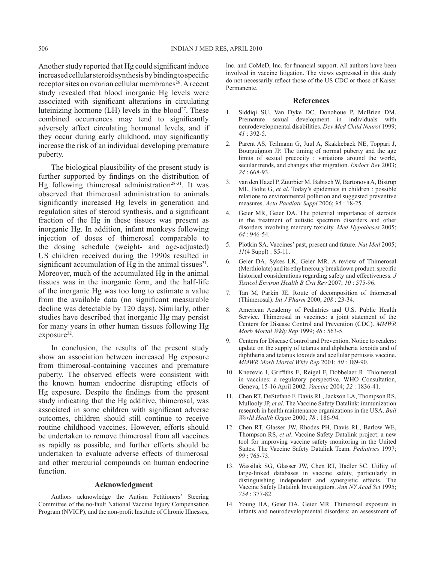Another study reported that Hg could significant induce increased cellular steroid synthesis by binding to specific receptor sites on ovarian cellular membranes<sup>26</sup>. A recent study revealed that blood inorganic Hg levels were associated with significant alterations in circulating luteinizing hormone  $(LH)$  levels in the blood<sup>27</sup>. These combined occurrences may tend to significantly adversely affect circulating hormonal levels, and if they occur during early childhood, may significantly increase the risk of an individual developing premature puberty.

The biological plausibility of the present study is further supported by findings on the distribution of Hg following thimerosal administration<sup>28-31</sup>. It was observed that thimerosal administration to animals significantly increased Hg levels in generation and regulation sites of steroid synthesis, and a significant fraction of the Hg in these tissues was present as inorganic Hg. In addition, infant monkeys following injection of doses of thimerosal comparable to the dosing schedule (weight- and age-adjusted) US children received during the 1990s resulted in significant accumulation of Hg in the animal tissues $31$ . Moreover, much of the accumulated Hg in the animal tissues was in the inorganic form, and the half-life of the inorganic Hg was too long to estimate a value from the available data (no significant measurable decline was detectable by 120 days). Similarly, other studies have described that inorganic Hg may persist for many years in other human tissues following Hg exposure<sup>32</sup>.

In conclusion, the results of the present study show an association between increased Hg exposure from thimerosal-containing vaccines and premature puberty. The observed effects were consistent with the known human endocrine disrupting effects of Hg exposure. Despite the findings from the present study indicating that the Hg additive, thimerosal, was associated in some children with significant adverse outcomes, children should still continue to receive routine childhood vaccines. However, efforts should be undertaken to remove thimerosal from all vaccines as rapidly as possible, and further efforts should be undertaken to evaluate adverse effects of thimerosal and other mercurial compounds on human endocrine function.

## **Acknowledgment**

Authors acknowledge the Autism Petitioners' Steering Committee of the no-fault National Vaccine Injury Compensation Program (NVICP), and the non-profit Institute of Chronic Illnesses,

Inc. and CoMeD, Inc. for financial support. All authors have been involved in vaccine litigation. The views expressed in this study do not necessarily reflect those of the US CDC or those of Kaiser Permanente.

#### **References**

- 1. Siddiqi SU, Van Dyke DC, Donohoue P, McBrien DM. Premature sexual development in individuals with neurodevelopmental disabilities. *Dev Med Child Neurol* 1999; *41* : 392-5.
- 2. Parent AS, Teilmann G, Juul A, Skakkebaek NE, Toppari J, Bourguignon JP. The timing of normal puberty and the age limits of sexual precocity : variations around the world, secular trends, and changes after migration. *Endocr Rev* 2003; *24* : 668-93.
- 3. van den Hazel P, Zuurbier M, Babisch W, Bartonova A, Bistrup ML, Bolte G, *et al*. Today's epidemics in children : possible relations to environmental pollution and suggested preventive measures. *Acta Paediatr Suppl* 2006; *95* : 18-25.
- Geier MR, Geier DA. The potential importance of steroids in the treatment of autistic spectrum disorders and other disorders involving mercury toxicity. *Med Hypotheses* 2005; *64* : 946-54.
- 5. Plotkin SA. Vaccines' past, present and future. *Nat Med* 2005; *11*(4 Suppl) : S5-11.
- 6. Geier DA, Sykes LK, Geier MR. A review of Thimerosal (Merthiolate) and its ethylmercury breakdown product: specific historical considerations regarding safety and effectiveness. *J Toxicol Environ Health B Crit Rev* 2007; *10* : 575-96.
- 7. Tan M, Parkin JE. Route of decomposition of thiomersal (Thimerosal). *Int J Pharm* 2000; *208* : 23-34.
- 8. American Academy of Pediatrics and U.S. Public Health Service. Thimerosal in vaccines: a joint statement of the Centers for Disease Control and Prevention (CDC). *MMWR Morb Mortal Wkly Rep* 1999; *48* : 563-5.
- 9. Centers for Disease Control and Prevention. Notice to readers: update on the supply of tetanus and diphtheria toxoids and of diphtheria and tetanus toxoids and acellular pertussis vaccine. *MMWR Morb Mortal Wkly Rep* 2001; *50* : 189-90.
- 10. Knezevic I, Griffiths E, Reigel F, Dobbelaer R. Thiomersal in vaccines: a regulatory perspective. WHO Consultation, Geneva, 15-16 April 2002. *Vaccine* 2004; *22* : 1836-41.
- 11. Chen RT, DeStefano F, Davis RL, Jackson LA, Thompson RS, Mullooly JP, *et al*. The Vaccine Safety Datalink: immunization research in health maintenance organizations in the USA. *Bull World Health Organ* 2000; *78* : 186-94.
- 12. Chen RT, Glasser JW, Rhodes PH, Davis RL, Barlow WE, Thompson RS, *et al*. Vaccine Safety Datalink project: a new tool for improving vaccine safety monitoring in the United States. The Vaccine Safety Datalink Team. *Pediatrics* 1997; *99* : 765-73.
- 13. Wassilak SG, Glasser JW, Chen RT, Hadler SC. Utility of large-linked databases in vaccine safety, particularly in distinguishing independent and synergistic effects. The Vaccine Safety Datalink Investigators. *Ann NY Acad Sci* 1995; *754* : 377-82.
- 14. Young HA, Geier DA, Geier MR. Thimerosal exposure in infants and neurodevelopmental disorders: an assessment of